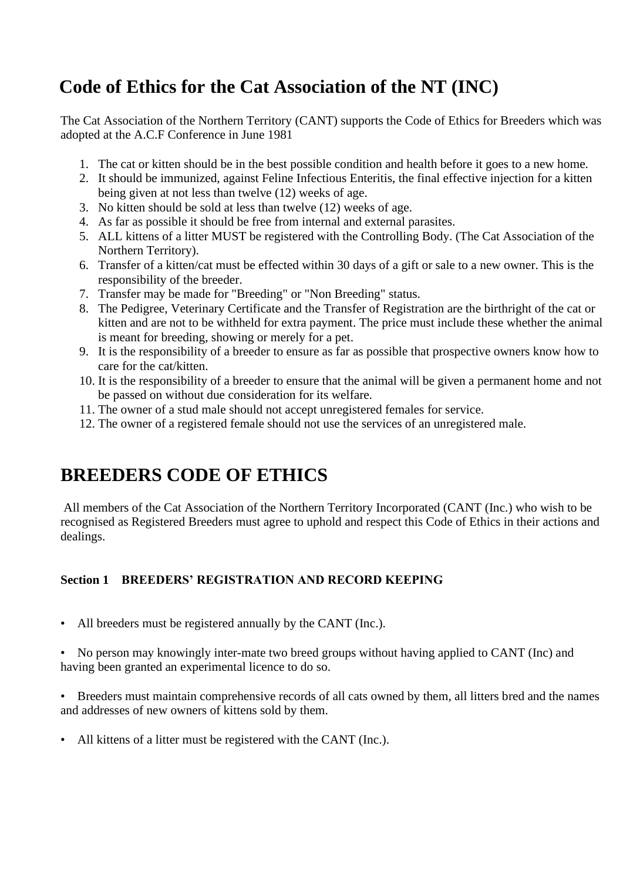# **Code of Ethics for the Cat Association of the NT (INC)**

The Cat Association of the Northern Territory (CANT) supports the Code of Ethics for Breeders which was adopted at the A.C.F Conference in June 1981

- 1. The cat or kitten should be in the best possible condition and health before it goes to a new home.
- 2. It should be immunized, against Feline Infectious Enteritis, the final effective injection for a kitten being given at not less than twelve (12) weeks of age.
- 3. No kitten should be sold at less than twelve (12) weeks of age.
- 4. As far as possible it should be free from internal and external parasites.
- 5. ALL kittens of a litter MUST be registered with the Controlling Body. (The Cat Association of the Northern Territory).
- 6. Transfer of a kitten/cat must be effected within 30 days of a gift or sale to a new owner. This is the responsibility of the breeder.
- 7. Transfer may be made for "Breeding" or "Non Breeding" status.
- 8. The Pedigree, Veterinary Certificate and the Transfer of Registration are the birthright of the cat or kitten and are not to be withheld for extra payment. The price must include these whether the animal is meant for breeding, showing or merely for a pet.
- 9. It is the responsibility of a breeder to ensure as far as possible that prospective owners know how to care for the cat/kitten.
- 10. It is the responsibility of a breeder to ensure that the animal will be given a permanent home and not be passed on without due consideration for its welfare.
- 11. The owner of a stud male should not accept unregistered females for service.
- 12. The owner of a registered female should not use the services of an unregistered male.

# **BREEDERS CODE OF ETHICS**

All members of the Cat Association of the Northern Territory Incorporated (CANT (Inc.) who wish to be recognised as Registered Breeders must agree to uphold and respect this Code of Ethics in their actions and dealings.

# **Section 1 BREEDERS' REGISTRATION AND RECORD KEEPING**

- All breeders must be registered annually by the CANT (Inc.).
- No person may knowingly inter-mate two breed groups without having applied to CANT (Inc) and having been granted an experimental licence to do so.
- Breeders must maintain comprehensive records of all cats owned by them, all litters bred and the names and addresses of new owners of kittens sold by them.
- All kittens of a litter must be registered with the CANT (Inc.).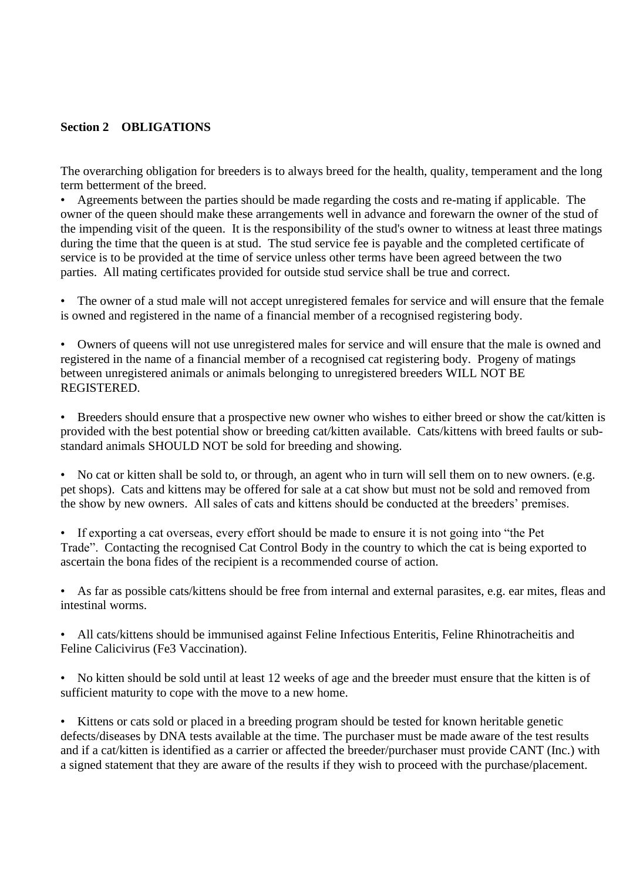#### **Section 2 OBLIGATIONS**

The overarching obligation for breeders is to always breed for the health, quality, temperament and the long term betterment of the breed.

• Agreements between the parties should be made regarding the costs and re-mating if applicable. The owner of the queen should make these arrangements well in advance and forewarn the owner of the stud of the impending visit of the queen. It is the responsibility of the stud's owner to witness at least three matings during the time that the queen is at stud. The stud service fee is payable and the completed certificate of service is to be provided at the time of service unless other terms have been agreed between the two parties. All mating certificates provided for outside stud service shall be true and correct.

• The owner of a stud male will not accept unregistered females for service and will ensure that the female is owned and registered in the name of a financial member of a recognised registering body.

• Owners of queens will not use unregistered males for service and will ensure that the male is owned and registered in the name of a financial member of a recognised cat registering body. Progeny of matings between unregistered animals or animals belonging to unregistered breeders WILL NOT BE REGISTERED.

• Breeders should ensure that a prospective new owner who wishes to either breed or show the cat/kitten is provided with the best potential show or breeding cat/kitten available. Cats/kittens with breed faults or substandard animals SHOULD NOT be sold for breeding and showing.

• No cat or kitten shall be sold to, or through, an agent who in turn will sell them on to new owners. (e.g. pet shops). Cats and kittens may be offered for sale at a cat show but must not be sold and removed from the show by new owners. All sales of cats and kittens should be conducted at the breeders' premises.

• If exporting a cat overseas, every effort should be made to ensure it is not going into "the Pet Trade". Contacting the recognised Cat Control Body in the country to which the cat is being exported to ascertain the bona fides of the recipient is a recommended course of action.

As far as possible cats/kittens should be free from internal and external parasites, e.g. ear mites, fleas and intestinal worms.

• All cats/kittens should be immunised against Feline Infectious Enteritis, Feline Rhinotracheitis and Feline Calicivirus (Fe3 Vaccination).

• No kitten should be sold until at least 12 weeks of age and the breeder must ensure that the kitten is of sufficient maturity to cope with the move to a new home.

• Kittens or cats sold or placed in a breeding program should be tested for known heritable genetic defects/diseases by DNA tests available at the time. The purchaser must be made aware of the test results and if a cat/kitten is identified as a carrier or affected the breeder/purchaser must provide CANT (Inc.) with a signed statement that they are aware of the results if they wish to proceed with the purchase/placement.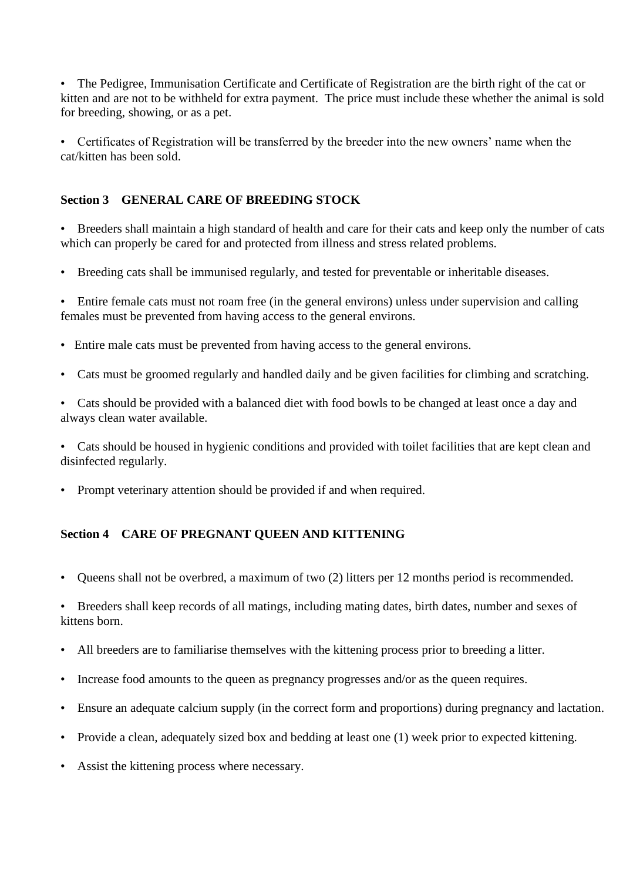• The Pedigree, Immunisation Certificate and Certificate of Registration are the birth right of the cat or kitten and are not to be withheld for extra payment. The price must include these whether the animal is sold for breeding, showing, or as a pet.

• Certificates of Registration will be transferred by the breeder into the new owners' name when the cat/kitten has been sold.

## **Section 3 GENERAL CARE OF BREEDING STOCK**

• Breeders shall maintain a high standard of health and care for their cats and keep only the number of cats which can properly be cared for and protected from illness and stress related problems.

• Breeding cats shall be immunised regularly, and tested for preventable or inheritable diseases.

• Entire female cats must not roam free (in the general environs) unless under supervision and calling females must be prevented from having access to the general environs.

- Entire male cats must be prevented from having access to the general environs.
- Cats must be groomed regularly and handled daily and be given facilities for climbing and scratching.
- Cats should be provided with a balanced diet with food bowls to be changed at least once a day and always clean water available.
- Cats should be housed in hygienic conditions and provided with toilet facilities that are kept clean and disinfected regularly.
- Prompt veterinary attention should be provided if and when required.

### **Section 4 CARE OF PREGNANT QUEEN AND KITTENING**

• Queens shall not be overbred, a maximum of two (2) litters per 12 months period is recommended.

• Breeders shall keep records of all matings, including mating dates, birth dates, number and sexes of kittens born.

- All breeders are to familiarise themselves with the kittening process prior to breeding a litter.
- Increase food amounts to the queen as pregnancy progresses and/or as the queen requires.
- Ensure an adequate calcium supply (in the correct form and proportions) during pregnancy and lactation.
- Provide a clean, adequately sized box and bedding at least one (1) week prior to expected kittening.
- Assist the kittening process where necessary.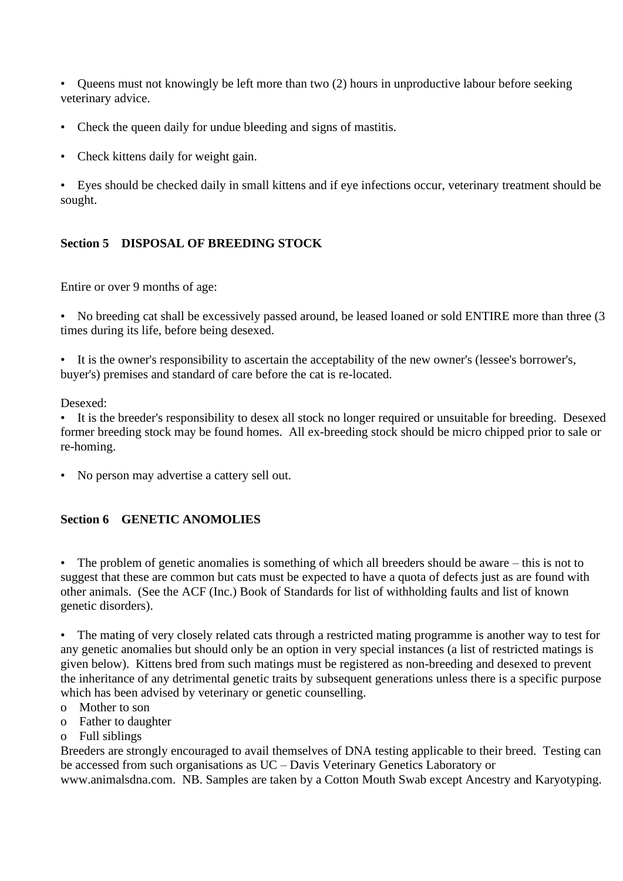• Queens must not knowingly be left more than two (2) hours in unproductive labour before seeking veterinary advice.

- Check the queen daily for undue bleeding and signs of mastitis.
- Check kittens daily for weight gain.

• Eyes should be checked daily in small kittens and if eye infections occur, veterinary treatment should be sought.

# **Section 5 DISPOSAL OF BREEDING STOCK**

Entire or over 9 months of age:

• No breeding cat shall be excessively passed around, be leased loaned or sold ENTIRE more than three (3 times during its life, before being desexed.

• It is the owner's responsibility to ascertain the acceptability of the new owner's (lessee's borrower's, buyer's) premises and standard of care before the cat is re-located.

Desexed:

• It is the breeder's responsibility to desex all stock no longer required or unsuitable for breeding. Desexed former breeding stock may be found homes. All ex-breeding stock should be micro chipped prior to sale or re-homing.

• No person may advertise a cattery sell out.

### **Section 6 GENETIC ANOMOLIES**

• The problem of genetic anomalies is something of which all breeders should be aware – this is not to suggest that these are common but cats must be expected to have a quota of defects just as are found with other animals. (See the ACF (Inc.) Book of Standards for list of withholding faults and list of known genetic disorders).

• The mating of very closely related cats through a restricted mating programme is another way to test for any genetic anomalies but should only be an option in very special instances (a list of restricted matings is given below). Kittens bred from such matings must be registered as non-breeding and desexed to prevent the inheritance of any detrimental genetic traits by subsequent generations unless there is a specific purpose which has been advised by veterinary or genetic counselling.

- o Mother to son
- o Father to daughter
- o Full siblings

Breeders are strongly encouraged to avail themselves of DNA testing applicable to their breed. Testing can be accessed from such organisations as UC – Davis Veterinary Genetics Laboratory or www.animalsdna.com. NB. Samples are taken by a Cotton Mouth Swab except Ancestry and Karyotyping.